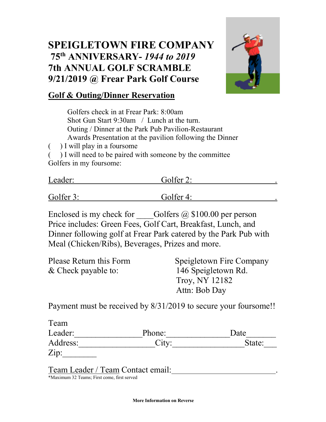## **SPEIGLETOWN FIRE COMPANY 75th ANNIVERSARY-** *1944 to 2019* **7th ANNUAL GOLF SCRAMBLE 9/21/2019 @ Frear Park Golf Course**



### **Golf & Outing/Dinner Reservation**

Golfers check in at Frear Park: 8:00am Shot Gun Start 9:30am / Lunch at the turn. Outing / Dinner at the Park Pub Pavilion-Restaurant Awards Presentation at the pavilion following the Dinner ( ) I will play in a foursome

( ) I will need to be paired with someone by the committee Golfers in my foursome:

| Leader:   | Golfer 2:    |  |
|-----------|--------------|--|
| Golfer 3: | Golfer $4$ : |  |

Enclosed is my check for Golfers  $\omega$  \$100.00 per person Price includes: Green Fees, Golf Cart, Breakfast, Lunch, and Dinner following golf at Frear Park catered by the Park Pub with Meal (Chicken/Ribs), Beverages, Prizes and more.

| Please Return this Form | Speigletown Fire Company |
|-------------------------|--------------------------|
| $&$ Check payable to:   | 146 Speigletown Rd.      |
|                         | Troy, NY 12182           |
|                         | Attn: Bob Day            |
|                         |                          |

Payment must be received by 8/31/2019 to secure your foursome!!

| Team     |        |        |
|----------|--------|--------|
| Leader:  | Phone: | Date   |
| Address: | City:  | State: |
| Zip:     |        |        |

Team Leader / Team Contact email: .

\*Maximum 32 Teams; First come, first served